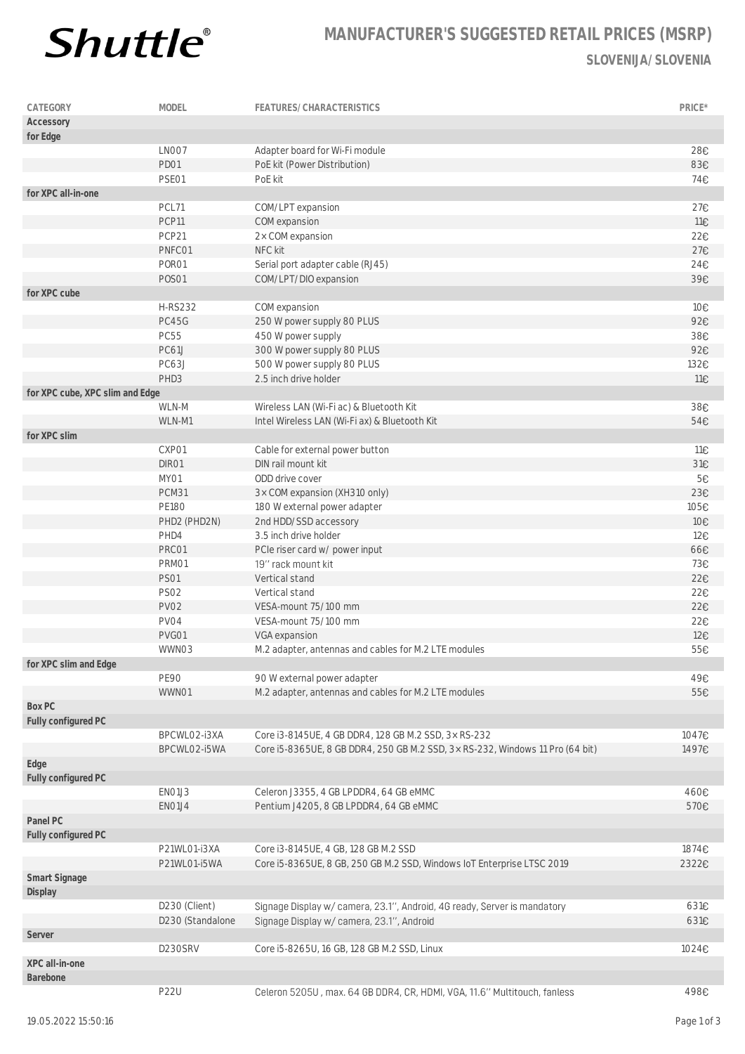

## **MANUFACTURER'S SUGGESTED RETAIL PRICES (MSRP) SLOVENIJA/SLOVENIA**

| CATEGORY                        | MODEL            | FEATURES/CHARACTERISTICS                                                      | PRICE* |
|---------------------------------|------------------|-------------------------------------------------------------------------------|--------|
| Accessory                       |                  |                                                                               |        |
| for Edge                        |                  |                                                                               |        |
|                                 | LNO07            | Adapter board for Wi-Fi module                                                | 28€    |
|                                 | PD01             | PoE kit (Power Distribution)                                                  | 83€    |
|                                 | PSE01            | PoE kit                                                                       | 74€    |
| for XPC all-in-one              |                  |                                                                               |        |
|                                 | PCL71            | COM/LPT expansion                                                             | 27€    |
|                                 | PCP11            | COM expansion                                                                 | 11€    |
|                                 | PCP21            | 2× COM expansion                                                              | 22€    |
|                                 | PNFC01           | NFC kit                                                                       | 27€    |
|                                 | PORO1            | Serial port adapter cable (RJ45)                                              | 24€    |
|                                 | <b>POSO1</b>     | COM/LPT/DIO expansion                                                         | 39€    |
| for XPC cube                    |                  |                                                                               |        |
|                                 | <b>H-RS232</b>   |                                                                               |        |
|                                 |                  | COM expansion                                                                 | 10€    |
|                                 | PC45G            | 250 W power supply 80 PLUS                                                    | 92€    |
|                                 | <b>PC55</b>      | 450 W power supply                                                            | 38€    |
|                                 | PC61J            | 300 W power supply 80 PLUS                                                    | 92€    |
|                                 | PC63J            | 500 W power supply 80 PLUS                                                    | 132€   |
|                                 | PHD3             | 2.5 inch drive holder                                                         | 11€    |
| for XPC cube, XPC slim and Edge |                  |                                                                               |        |
|                                 | WLN-M            | Wireless LAN (Wi-Fi ac) & Bluetooth Kit                                       | 38€    |
|                                 | WLN-M1           | Intel Wireless LAN (Wi-Fi ax) & Bluetooth Kit                                 | 54€    |
| for XPC slim                    |                  |                                                                               |        |
|                                 | CXP01            | Cable for external power button                                               | 11€    |
|                                 | DIR01            | DIN rail mount kit                                                            | 31€    |
|                                 | MY01             | ODD drive cover                                                               | 5€     |
|                                 | PCM31            | 3× COM expansion (XH310 only)                                                 | 23€    |
|                                 | <b>PE180</b>     | 180 W external power adapter                                                  | 105€   |
|                                 | PHD2 (PHD2N)     | 2nd HDD/SSD accessory                                                         | 10€    |
|                                 | PHD4             | 3.5 inch drive holder                                                         | 12€    |
|                                 | PRC01            | PCIe riser card w/ power input                                                | 66€    |
|                                 | PRM01            | 19" rack mount kit                                                            | 73€    |
|                                 | <b>PS01</b>      | Vertical stand                                                                | 22€    |
|                                 | <b>PS02</b>      | Vertical stand                                                                | 22€    |
|                                 | <b>PV02</b>      | VESA-mount 75/100 mm                                                          | 22€    |
|                                 | PV04             | VESA-mount 75/100 mm                                                          | 22€    |
|                                 | PVG01            | VGA expansion                                                                 | 12€    |
|                                 | WWN03            | M.2 adapter, antennas and cables for M.2 LTE modules                          | 55€    |
| for XPC slim and Edge           |                  |                                                                               |        |
|                                 | <b>PE90</b>      | 90 W external power adapter                                                   | 49€    |
|                                 | WWN01            | M.2 adapter, antennas and cables for M.2 LTE modules                          | 55€    |
| Box PC                          |                  |                                                                               |        |
| Fully configured PC             |                  |                                                                               |        |
|                                 | BPCWLO2-i3XA     | Core i3-8145UE, 4 GB DDR4, 128 GB M.2 SSD, 3x RS-232                          | 1047€  |
|                                 | BPCWLO2-i5WA     | Core i5-8365UE, 8 GB DDR4, 250 GB M.2 SSD, 3x RS-232, Windows 11 Pro (64 bit) |        |
|                                 |                  |                                                                               | 1497€  |
| Edge                            |                  |                                                                               |        |
| Fully configured PC             |                  |                                                                               |        |
|                                 | EN01J3           | Celeron J3355, 4 GB LPDDR4, 64 GB eMMC                                        | 460€   |
|                                 | EN01J4           | Pentium J4205, 8 GB LPDDR4, 64 GB eMMC                                        | 570€   |
| Panel PC                        |                  |                                                                               |        |
| Fully configured PC             |                  |                                                                               |        |
|                                 | P21WL01-i3XA     | Core i3-8145UE, 4 GB, 128 GB M.2 SSD                                          | 1874€  |
|                                 | P21WL01-i5WA     | Core i5-8365UE, 8 GB, 250 GB M.2 SSD, Windows IoT Enterprise LTSC 2019        | 2322€  |
| Smart Signage                   |                  |                                                                               |        |
| Display                         |                  |                                                                               |        |
|                                 | D230 (Client)    | Signage Display w/ camera, 23.1", Android, 4G ready, Server is mandatory      | 631€   |
|                                 | D230 (Standalone | Signage Display w/ camera, 23.1", Android                                     | 631€   |
| Server                          |                  |                                                                               |        |
|                                 | D230SRV          | Core i5-8265U, 16 GB, 128 GB M.2 SSD, Linux                                   | 1024€  |
| XPC all-in-one                  |                  |                                                                               |        |
| Barebone                        |                  |                                                                               |        |
|                                 | <b>P22U</b>      | Celeron 5205U, max. 64 GB DDR4, CR, HDMI, VGA, 11.6" Multitouch, fanless      | 498€   |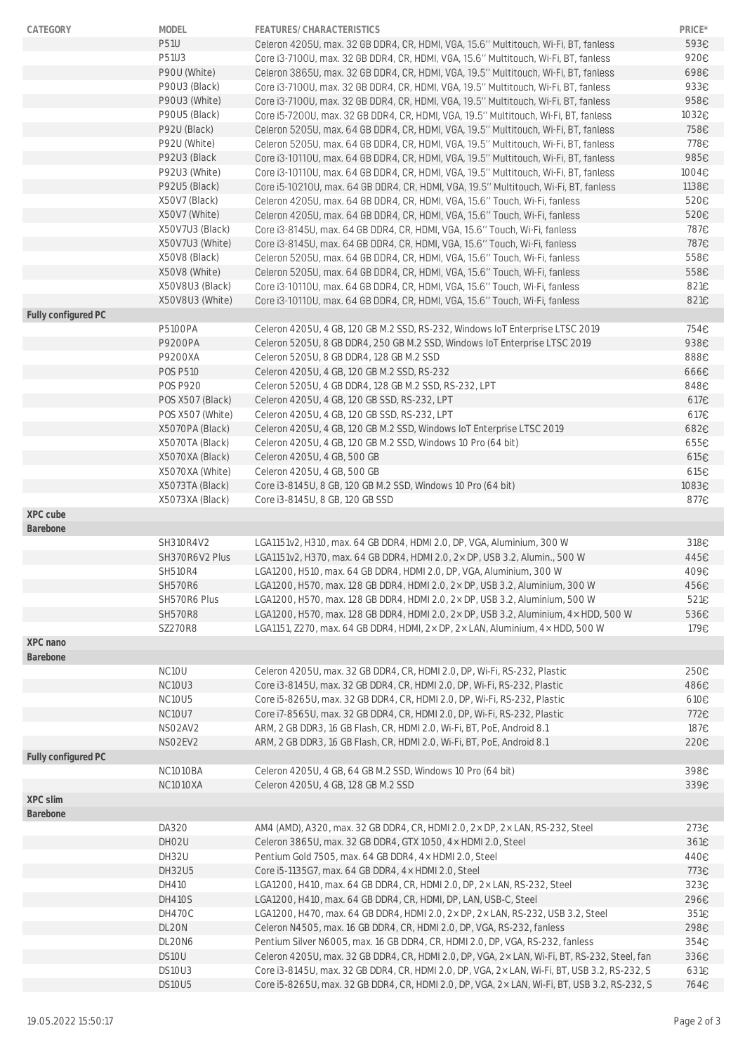| CATEGORY            | <b>MODEL</b>      | FEATURES/CHARACTERISTICS                                                                     | PRICE* |
|---------------------|-------------------|----------------------------------------------------------------------------------------------|--------|
|                     | <b>P51U</b>       | Celeron 4205U, max. 32 GB DDR4, CR, HDMI, VGA, 15.6" Multitouch, Wi-Fi, BT, fanless          | 593€   |
|                     | P51U3             | Core i3-7100U, max. 32 GB DDR4, CR, HDMI, VGA, 15.6" Multitouch, Wi-Fi, BT, fanless          | 920€   |
|                     | P90U (White)      | Celeron 3865U, max. 32 GB DDR4, CR, HDMI, VGA, 19.5" Multitouch, Wi-Fi, BT, fanless          | 698€   |
|                     | P90U3 (Black)     | Core i3-7100U, max. 32 GB DDR4, CR, HDMI, VGA, 19.5" Multitouch, Wi-Fi, BT, fanless          | 933€   |
|                     | P90U3 (White)     | Core i3-7100U, max. 32 GB DDR4, CR, HDMI, VGA, 19.5" Multitouch, Wi-Fi, BT, fanless          | 958€   |
|                     | P90U5 (Black)     | Core i5-7200U, max. 32 GB DDR4, CR, HDMI, VGA, 19.5" Multitouch, Wi-Fi, BT, fanless          | 1032€  |
|                     | P92U (Black)      | Celeron 5205U, max. 64 GB DDR4, CR, HDMI, VGA, 19.5" Multitouch, Wi-Fi, BT, fanless          | 758€   |
|                     | P92U (White)      | Celeron 5205U, max. 64 GB DDR4, CR, HDMI, VGA, 19.5" Multitouch, Wi-Fi, BT, fanless          | 778€   |
|                     | P92U3 (Black      | Core i3-10110U, max. 64 GB DDR4, CR, HDMI, VGA, 19.5" Multitouch, Wi-Fi, BT, fanless         | 985€   |
|                     | P92U3 (White)     | Core i3-10110U, max. 64 GB DDR4, CR, HDMI, VGA, 19.5" Multitouch, Wi-Fi, BT, fanless         | 1004€  |
|                     | P92U5 (Black)     | Core i5-10210U, max. 64 GB DDR4, CR, HDMI, VGA, 19.5" Multitouch, Wi-Fi, BT, fanless         | 1138€  |
|                     | X50V7 (Black)     | Celeron 4205U, max. 64 GB DDR4, CR, HDMI, VGA, 15.6" Touch, Wi-Fi, fanless                   | 520€   |
|                     | X50V7 (White)     | Celeron 4205U, max. 64 GB DDR4, CR, HDMI, VGA, 15.6" Touch, Wi-Fi, fanless                   | 520€   |
|                     | X50V7U3 (Black)   | Core i3-8145U, max. 64 GB DDR4, CR, HDMI, VGA, 15.6" Touch, Wi-Fi, fanless                   | 787€   |
|                     | X50V7U3 (White)   | Core i3-8145U, max. 64 GB DDR4, CR, HDMI, VGA, 15.6" Touch, Wi-Fi, fanless                   | 787€   |
|                     | X50V8 (Black)     | Celeron 5205U, max. 64 GB DDR4, CR, HDMI, VGA, 15.6" Touch, Wi-Fi, fanless                   | 558€   |
|                     | X50V8 (White)     | Celeron 5205U, max. 64 GB DDR4, CR, HDMI, VGA, 15.6" Touch, Wi-Fi, fanless                   | 558€   |
|                     | X50V8U3 (Black)   | Core i3-10110U, max. 64 GB DDR4, CR, HDMI, VGA, 15.6" Touch, Wi-Fi, fanless                  | 821€   |
|                     | X50V8U3 (White)   | Core i3-10110U, max. 64 GB DDR4, CR, HDMI, VGA, 15.6" Touch, Wi-Fi, fanless                  | 821€   |
| Fully configured PC |                   |                                                                                              |        |
|                     | <b>P5100PA</b>    | Celeron 4205U, 4 GB, 120 GB M.2 SSD, RS-232, Windows IoT Enterprise LTSC 2019                | 754€   |
|                     | P9200PA           | Celeron 5205U, 8 GB DDR4, 250 GB M.2 SSD, Windows IoT Enterprise LTSC 2019                   | 938€   |
|                     | P9200XA           | Celeron 5205U, 8 GB DDR4, 128 GB M.2 SSD                                                     | 888€   |
|                     | <b>POS P510</b>   | Celeron 4205U, 4 GB, 120 GB M.2 SSD, RS-232                                                  | 666€   |
|                     | <b>POS P920</b>   | Celeron 5205U, 4 GB DDR4, 128 GB M.2 SSD, RS-232, LPT                                        | 848€   |
|                     | POS X507 (Black)  | Celeron 4205U, 4 GB, 120 GB SSD, RS-232, LPT                                                 | 617€   |
|                     | POS X507 (White)  | Celeron 4205U, 4 GB, 120 GB SSD, RS-232, LPT                                                 | 617€   |
|                     | X5070PA (Black)   | Celeron 4205U, 4 GB, 120 GB M.2 SSD, Windows IoT Enterprise LTSC 2019                        | 682€   |
|                     | X5070TA (Black)   | Celeron 4205U, 4 GB, 120 GB M.2 SSD, Windows 10 Pro (64 bit)                                 | 655€   |
|                     | X5070XA (Black)   | Celeron 4205U, 4 GB, 500 GB                                                                  | 615E   |
|                     | X5070XA (White)   | Celeron 4205U, 4 GB, 500 GB                                                                  | 615E   |
|                     | X5073TA (Black)   | Core i3-8145U, 8 GB, 120 GB M.2 SSD, Windows 10 Pro (64 bit)                                 | 1083€  |
|                     | X5073XA (Black)   | Core i3-8145U, 8 GB, 120 GB SSD                                                              | 877€   |
| XPC cube            |                   |                                                                                              |        |
| Barebone            |                   |                                                                                              |        |
|                     | SH310R4V2         | LGA1151v2, H310, max. 64 GB DDR4, HDMI 2.0, DP, VGA, Aluminium, 300 W                        | 318€   |
|                     | SH370R6V2 Plus    | LGA1151v2, H370, max. 64 GB DDR4, HDMI 2.0, 2× DP, USB 3.2, Alumin., 500 W                   | 445€   |
|                     | <b>SH510R4</b>    | LGA1200, H510, max. 64 GB DDR4, HDMI 2.0, DP, VGA, Aluminium, 300 W                          | 409€   |
|                     | SH570R6           | LGA1200, H570, max. 128 GB DDR4, HDMI 2.0, 2× DP, USB 3.2, Aluminium, 300 W                  | 456€   |
|                     | SH570R6 Plus      | LGA1200, H570, max. 128 GB DDR4, HDMI 2.0, 2× DP, USB 3.2, Aluminium, 500 W                  | 521€   |
|                     | <b>SH570R8</b>    | LGA1200, H570, max. 128 GB DDR4, HDMI 2.0, 2× DP, USB 3.2, Aluminium, 4× HDD, 500 W          | 536€   |
|                     | <b>SZ270R8</b>    | LGA1151, Z270, max. 64 GB DDR4, HDMI, 2× DP, 2× LAN, Aluminium, 4× HDD, 500 W                | 179€   |
| XPC nano            |                   |                                                                                              |        |
| Barebone            |                   |                                                                                              |        |
|                     | NC10U             | Celeron 4205U, max. 32 GB DDR4, CR, HDMI 2.0, DP, Wi-Fi, RS-232, Plastic                     | 250€   |
|                     | <b>NC10U3</b>     | Core i3-8145U, max. 32 GB DDR4, CR, HDMI 2.0, DP, Wi-Fi, RS-232, Plastic                     | 486€   |
|                     | NC10U5            | Core i5-8265U, max. 32 GB DDR4, CR, HDMI 2.0, DP, Wi-Fi, RS-232, Plastic                     | 610E   |
|                     | <b>NC10U7</b>     | Core i7-8565U, max. 32 GB DDR4, CR, HDMI 2.0, DP, Wi-Fi, RS-232, Plastic                     | 772€   |
|                     | NSO2AV2           | ARM, 2 GB DDR3, 16 GB Flash, CR, HDMI 2.0, Wi-Fi, BT, PoE, Android 8.1                       | 187€   |
|                     | NSO2EV2           | ARM, 2 GB DDR3, 16 GB Flash, CR, HDMI 2.0, Wi-Fi, BT, PoE, Android 8.1                       | 220€   |
| Fully configured PC |                   |                                                                                              |        |
|                     | NC1010BA          | Celeron 4205U, 4 GB, 64 GB M.2 SSD, Windows 10 Pro (64 bit)                                  | 398€   |
|                     | <b>NC1010XA</b>   | Celeron 4205U, 4 GB, 128 GB M.2 SSD                                                          | 339€   |
| XPC slim            |                   |                                                                                              |        |
| Barebone            |                   |                                                                                              |        |
|                     | DA320             | AM4 (AMD), A320, max. 32 GB DDR4, CR, HDMI 2.0, 2× DP, 2× LAN, RS-232, Steel                 | 273€   |
|                     | DHO <sub>2U</sub> | Celeron 3865U, max. 32 GB DDR4, GTX 1050, 4 x HDMI 2.0, Steel                                | 361€   |
|                     | DH32U             | Pentium Gold 7505, max. 64 GB DDR4, 4x HDMI 2.0, Steel                                       | 440€   |
|                     | DH32U5            | Core i5-1135G7, max. 64 GB DDR4, 4x HDMI 2.0, Steel                                          | 773€   |
|                     | DH410             | LGA1200, H410, max. 64 GB DDR4, CR, HDMI 2.0, DP, 2× LAN, RS-232, Steel                      | 323€   |
|                     | <b>DH410S</b>     | LGA1200, H410, max. 64 GB DDR4, CR, HDMI, DP, LAN, USB-C, Steel                              | 296€   |
|                     |                   |                                                                                              |        |
|                     | DH470C            | LGA1200, H470, max. 64 GB DDR4, HDMI 2.0, 2× DP, 2× LAN, RS-232, USB 3.2, Steel              | 351€   |
|                     | DL20N             | Celeron N4505, max. 16 GB DDR4, CR, HDMI 2.0, DP, VGA, RS-232, fanless                       | 298€   |
|                     | DL20N6            | Pentium Silver N6005, max. 16 GB DDR4, CR, HDMI 2.0, DP, VGA, RS-232, fanless                | 354€   |
|                     | DS10U             | Celeron 4205U, max. 32 GB DDR4, CR, HDMI 2.0, DP, VGA, 2× LAN, Wi-Fi, BT, RS-232, Steel, fan | 336€   |
|                     | DS10U3            | Core i3-8145U, max. 32 GB DDR4, CR, HDMI 2.0, DP, VGA, 2× LAN, Wi-Fi, BT, USB 3.2, RS-232, S | 631€   |
|                     | DS10U5            | Core i5-8265U, max. 32 GB DDR4, CR, HDMI 2.0, DP, VGA, 2x LAN, Wi-Fi, BT, USB 3.2, RS-232, S | 764€   |